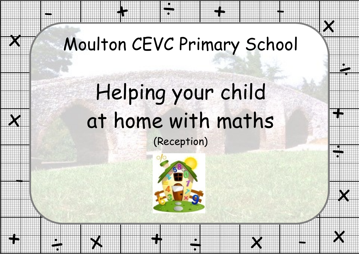

-

## Moulton CEVC Primary School

÷

+

+

 $\boldsymbol{\mathsf{X}}$ 

-

 $\pmb{\chi}$ 

-

**th** 

# Helping your child at home with maths (Reception)



÷

+

 $\boldsymbol{\times}$ 

 $\div$ 



-

 $\boldsymbol{\mathsf{X}}$ 

+

 $\mathcal{L}$ 

÷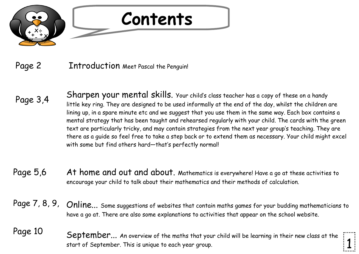

#### Page 2 Introduction Meet Pascal the Penguin!

- Sharpen your mental skills. Your child's class teacher has a copy of these on a handy little key ring. They are designed to be used informally at the end of the day, whilst the children are lining up, in a spare minute etc and we suggest that you use them in the same way. Each box contains a mental strategy that has been taught and rehearsed regularly with your child. The cards with the green text are particularly tricky, and may contain strategies from the next year group's teaching. They are there as a guide so feel free to take a step back or to extend them as necessary. Your child might excel with some but find others hard—that's perfectly normal! Page 3,4
- Page 5,6 At home and out and about. Mathematics is everywhere! Have a go at these activities to encourage your child to talk about their mathematics and their methods of calculation.
- Page 7, 8, 9, Online... Some suggestions of websites that contain maths games for your budding mathematicians to have a go at. There are also some explanations to activities that appear on the school website.
- Page 10 September... An overview of the maths that your child will be learning in their new class at the start of September. This is unique to each year group. 1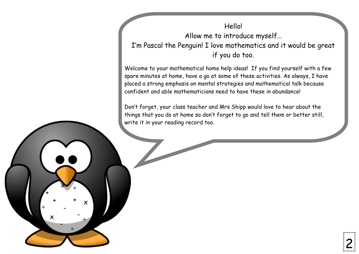Hello! Allow me to introduce myself… I'm Pascal the Penguin! I love mathematics and it would be great if you do too.

Welcome to your mathematical home help ideas! If you find yourself with a few spare minutes at home, have a go at some of these activities. As always, I have placed a strong emphasis on mental strategies and mathematical talk because confident and able mathematicians need to have these in abundance!

Don't forget, your class teacher and Mrs Shipp would love to hear about the things that you do at home so don't forget to go and tell them or better still, write it in your reading record too.

+

÷

+ +

x

-

 $x \rightarrow$ 

÷

-

÷

x

-

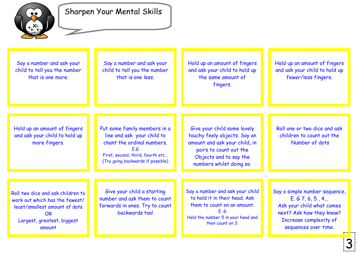

#### Sharpen Your Mental Skills

Say a number and ask your child to tell you the number that is one more.

Say a number and ask your child to tell you the number that is one less.

Hold up an amount of fingers and ask your child to hold up the same amount of fingers.

Hold up an amount of fingers and ask your child to hold up fewer/less fingers.

Hold up an amount of fingers and ask your child to hold up more fingers.

Put some family members in a line and ask your child to chant the ordinal numbers. E.G First, second, third, fourth etc… (Try going backwards if possible)

Give your child some lovely touchy feely objects. Say an amount and ask your child, in pairs to count out the Objects and to say the numbers whilst doing so.

Roll one or two dice and ask children to count out the Number of dots

Roll two dice and ask children to work out which has the fewest/ least/smallest amount of dots OR Largest, greatest, biggest amount

Give your child a starting number and ask them to count forwards in ones. Try to count backwards too!

Say a number and ask your child to hold it in their head. Ask them to count on an amount. E. G Hold the number 5 in your head and then count on 3.

Say a simple number sequence, E. G 7, 6, 5 , 4... Ask your child what comes next? Ask how they know? Increase complexity of sequences over time.

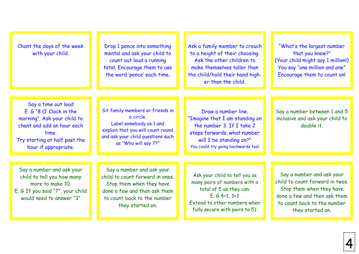| Chant the days of the week<br>with your child.                                                                                                                                  | Drop 1 pence into something<br>mental and ask your child to<br>count out loud a running<br>total. Encourage them to use<br>the word 'pence' each time.                      | Ask a family member to crouch<br>to a height of their choosing.<br>Ask the other children to<br>make themselves taller than<br>the child/hold their hand high-<br>er than the child. | "What's the largest number<br>that you know?"<br>(Your child might say 1 million!)<br>You say "one million and one"<br>Encourage them to count on!                          |
|---------------------------------------------------------------------------------------------------------------------------------------------------------------------------------|-----------------------------------------------------------------------------------------------------------------------------------------------------------------------------|--------------------------------------------------------------------------------------------------------------------------------------------------------------------------------------|-----------------------------------------------------------------------------------------------------------------------------------------------------------------------------|
| Say a time out loud<br>$E. G$ "8 O' Clock in the<br>morning". Ask your child to<br>chant and add an hour each<br>time.<br>Try starting at half past the<br>hour if appropriate. | Sit family members or friends in<br>a circle.<br>Label somebody as 1 and<br>explain that you will count round<br>and ask your child questions such<br>as "Who will say 7?"  | Draw a number line.<br>"Imagine that I am standing on<br>the number 3. If I take 2<br>steps forwards, what number<br>will I be standing on?"<br>You could try going backwards too!   | Say a number between 1 and 5<br>inclusive and ask your child to<br>double it.                                                                                               |
| Say a number and ask your<br>child to tell you how many<br>more to make 10.<br>E. G If you said "7", your child<br>would need to answer "3"                                     | Say a number and ask your<br>child to count forward in ones.<br>Stop them when they have<br>done a few and then ask them<br>to count back to the number<br>they started on. | Ask your child to tell you as<br>many pairs of numbers with a<br>total of 5 as they can.<br>$E. G 4+1, 3+2$<br>Extend to other numbers when<br>fully secure with pairs to 5).        | Say a number and ask your<br>child to count forward in twos.<br>Stop them when they have<br>done a few and then ask them<br>to count back to the number<br>they started on. |

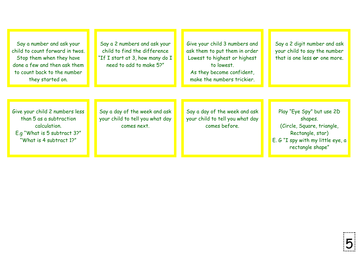Say a number and ask your child to count forward in twos. Stop them when they have done a few and then ask them to count back to the number they started on.

Say a 2 numbers and ask your child to find the difference "If I start at 3, how many do I need to add to make 5?"

Give your child 3 numbers and ask them to put them in order Lowest to highest or highest to lowest. As they become confident,

make the numbers trickier.

Say a 2 digit number and ask your child to say the number that is one less **or** one more.

Give your child 2 numbers less than 5 as a subtraction calculation. E.g "What is 5 subtract 3?" "What is 4 subtract 1?"

Say a day of the week and ask your child to tell you what day comes next.

Say a day of the week and ask your child to tell you what day comes before.

Play "Eye Spy" but use 2D shapes. (Circle, Square, triangle, Rectangle, star) E. G "I spy with my little eye, a rectangle shape"

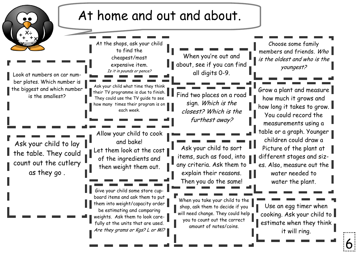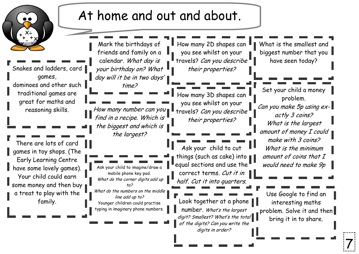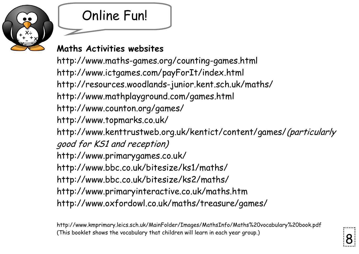

## Online Fun!

### **Maths Activities websites**

http://www.maths-games.org/counting-games.html http://www.ictgames.com/payForIt/index.html http://resources.woodlands-junior.kent.sch.uk/maths/ http://www.mathplayground.com/games.html http://www.counton.org/games/ http://www.topmarks.co.uk/ http://www.kenttrustweb.org.uk/kentict/content/games/(particularly good for KS1 and reception) http://www.primarygames.co.uk/ http://www.bbc.co.uk/bitesize/ks1/maths/ http://www.bbc.co.uk/bitesize/ks2/maths/ http://www.primaryinteractive.co.uk/maths.htm http://www.oxfordowl.co.uk/maths/treasure/games/

http://www.kmprimary.leics.sch.uk/MainFolder/Images/MathsInfo/Maths%20vocabulary%20book.pdf (This booklet shows the vocabulary that children will learn in each year group.) 8

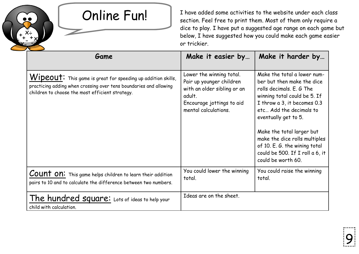

+  $+ +$ - - x

÷

 $\bar{\mathsf{x}}$ 

÷

 $x - y$ 

Online Fun! I have added some activities to the website under each class<br>section. Feel free to print them. Most of them only require a dice to play. I have put a suggested age range on each game but below, I have suggested how you could make each game easier or trickier.

| Game                                                                                                                                                                                 | Make it easier by                                                                                                                                  | Make it harder by                                                                                                                                                                                                                                                                                                                                               |  |
|--------------------------------------------------------------------------------------------------------------------------------------------------------------------------------------|----------------------------------------------------------------------------------------------------------------------------------------------------|-----------------------------------------------------------------------------------------------------------------------------------------------------------------------------------------------------------------------------------------------------------------------------------------------------------------------------------------------------------------|--|
| Wipeout: This game is great for speeding up addition skills,<br>practicing adding when crossing over tens boundaries and allowing<br>children to choose the most efficient strategy. | Lower the winning total.<br>Pair up younger children<br>with an older sibling or an<br>adult.<br>Encourage jottings to aid<br>mental calculations. | Make the total a lower num-<br>ber but then make the dice<br>rolls decimals. E. G The<br>winning total could be 5. If<br>I throw a 3, it becomes 0.3<br>etc Add the decimals to<br>eventually get to 5.<br>Make the total larger but<br>make the dice rolls multiples<br>of 10. E. G. the wining total<br>could be 500. If I roll a 6, it<br>could be worth 60. |  |
| Count on: This game helps children to learn their addition<br>pairs to 10 and to calculate the difference between two numbers.                                                       | You could lower the winning<br>total.                                                                                                              | You could raise the winning<br>total.                                                                                                                                                                                                                                                                                                                           |  |
| The hundred square: Lots of ideas to help your<br>child with calculation.                                                                                                            | Ideas are on the sheet.                                                                                                                            |                                                                                                                                                                                                                                                                                                                                                                 |  |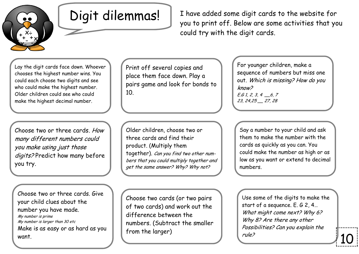

Digit dilemmas! | I have added some digit cards to the website for you to print off. Below are some activities that you could try with the digit cards.

Lay the digit cards face down. Whoever chooses the highest number wins. You could each choose two digits and see who could make the highest number. Older children could see who could make the highest decimal number.

Choose two or three cards. How many different numbers could you make using just those digits? Predict how many before you try.

Choose two or three cards. Give your child clues about the number you have made. My number is prime My number is larger than 30 etc Make is as easy or as hard as you want.

Print off several copies and place them face down. Play a pairs game and look for bonds to 10.

Older children, choose two or three cards and find their product. (Multiply them together). Can you find two other numbers that you could multiply together and get the same answer? Why? Why not?

Choose two cards (or two pairs of two cards) and work out the difference between the numbers. (Subtract the smaller from the larger)

For younger children, make a sequence of numbers but miss one out. Which is missing? How do you know?  $E.61, 2, 3, 4 \_6, 7$ 23, 24,25 \_\_ 27, 28

Say a number to your child and ask them to make the number with the cards as quickly as you can. You could make the number as high or as low as you want or extend to decimal numbers.

Use some of the digits to make the start of a sequence. E. G 2, 4… What might come next? Why 6? Why 8? Are there any other Possibilities? Can you explain the rule?

10